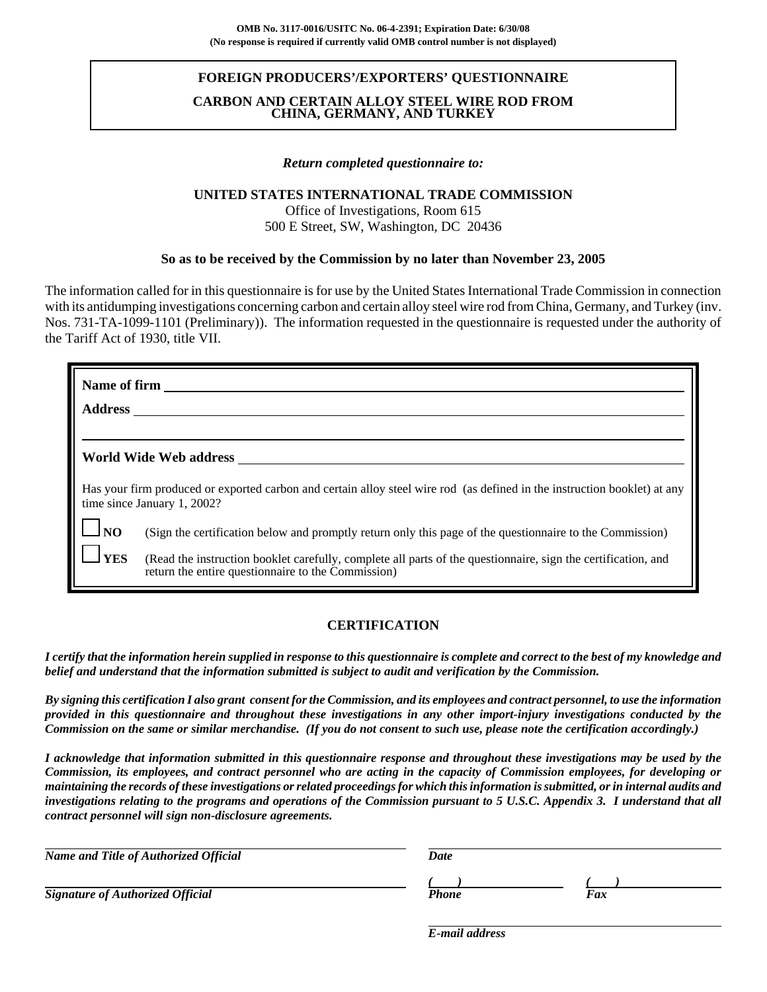## **FOREIGN PRODUCERS'/EXPORTERS' QUESTIONNAIRE**

## **CARBON AND CERTAIN ALLOY STEEL WIRE ROD FROM CHINA, GERMANY, AND TURKEY**

### *Return completed questionnaire to:*

### **UNITED STATES INTERNATIONAL TRADE COMMISSION**

Office of Investigations, Room 615 500 E Street, SW, Washington, DC 20436

## **So as to be received by the Commission by no later than November 23, 2005**

The information called for in this questionnaire is for use by the United States International Trade Commission in connection with its antidumping investigations concerning carbon and certain alloy steel wire rod from China, Germany, and Turkey (inv. Nos. 731-TA-1099-1101 (Preliminary)). The information requested in the questionnaire is requested under the authority of the Tariff Act of 1930, title VII.

| <b>Name of firm</b> |                                                                                                                                                                     |
|---------------------|---------------------------------------------------------------------------------------------------------------------------------------------------------------------|
| <b>Address</b>      |                                                                                                                                                                     |
|                     |                                                                                                                                                                     |
|                     | World Wide Web address                                                                                                                                              |
|                     | Has your firm produced or exported carbon and certain alloy steel wire rod (as defined in the instruction booklet) at any<br>time since January 1, 2002?            |
| $\Box$ NO           | (Sign the certification below and promptly return only this page of the questionnaire to the Commission)                                                            |
| <b>YES</b>          | (Read the instruction booklet carefully, complete all parts of the questionnaire, sign the certification, and<br>return the entire questionnaire to the Commission) |

## **CERTIFICATION**

*I certify that the information herein supplied in response to this questionnaire is complete and correct to the best of my knowledge and belief and understand that the information submitted is subject to audit and verification by the Commission.*

*By signing this certification I also grant consent for the Commission, and its employees and contract personnel, to use the information provided in this questionnaire and throughout these investigations in any other import-injury investigations conducted by the Commission on the same or similar merchandise. (If you do not consent to such use, please note the certification accordingly.)*

*I acknowledge that information submitted in this questionnaire response and throughout these investigations may be used by the Commission, its employees, and contract personnel who are acting in the capacity of Commission employees, for developing or maintaining the records of these investigations or related proceedings for which this information is submitted, or in internal audits and investigations relating to the programs and operations of the Commission pursuant to 5 U.S.C. Appendix 3. I understand that all contract personnel will sign non-disclosure agreements.*

| Name and Title of Authorized Official   | <b>Date</b> |     |
|-----------------------------------------|-------------|-----|
|                                         |             |     |
| <b>Signature of Authorized Official</b> | Phone       | Fax |

*E-mail address*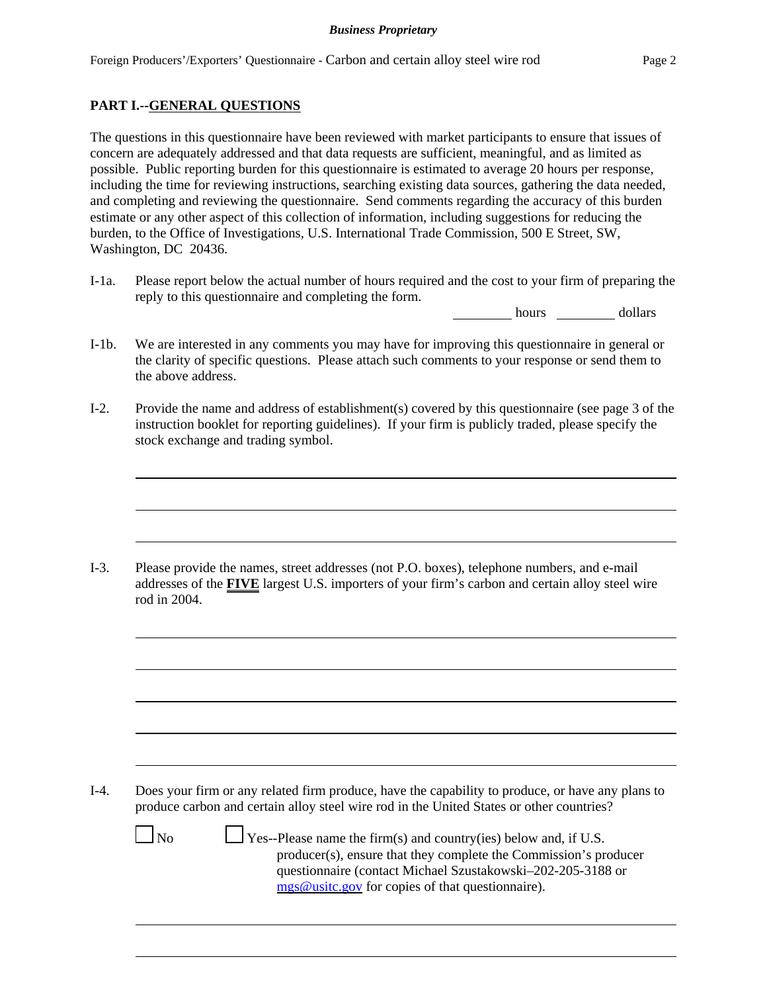## **PART I.--GENERAL QUESTIONS**

The questions in this questionnaire have been reviewed with market participants to ensure that issues of concern are adequately addressed and that data requests are sufficient, meaningful, and as limited as possible. Public reporting burden for this questionnaire is estimated to average 20 hours per response, including the time for reviewing instructions, searching existing data sources, gathering the data needed, and completing and reviewing the questionnaire. Send comments regarding the accuracy of this burden estimate or any other aspect of this collection of information, including suggestions for reducing the burden, to the Office of Investigations, U.S. International Trade Commission, 500 E Street, SW, Washington, DC 20436.

I-1a. Please report below the actual number of hours required and the cost to your firm of preparing the reply to this questionnaire and completing the form.

hours dollars

- I-1b. We are interested in any comments you may have for improving this questionnaire in general or the clarity of specific questions. Please attach such comments to your response or send them to the above address.
- I-2. Provide the name and address of establishment(s) covered by this questionnaire (see page 3 of the instruction booklet for reporting guidelines). If your firm is publicly traded, please specify the stock exchange and trading symbol.

I-3. Please provide the names, street addresses (not P.O. boxes), telephone numbers, and e-mail addresses of the **FIVE** largest U.S. importers of your firm's carbon and certain alloy steel wire rod in 2004.

I-4. Does your firm or any related firm produce, have the capability to produce, or have any plans to produce carbon and certain alloy steel wire rod in the United States or other countries?

 $\Box$  No  $\Box$  Yes--Please name the firm(s) and country(ies) below and, if U.S. producer(s), ensure that they complete the Commission's producer questionnaire (contact Michael Szustakowski–202-205-3188 or mgs@usitc.gov for copies of that questionnaire).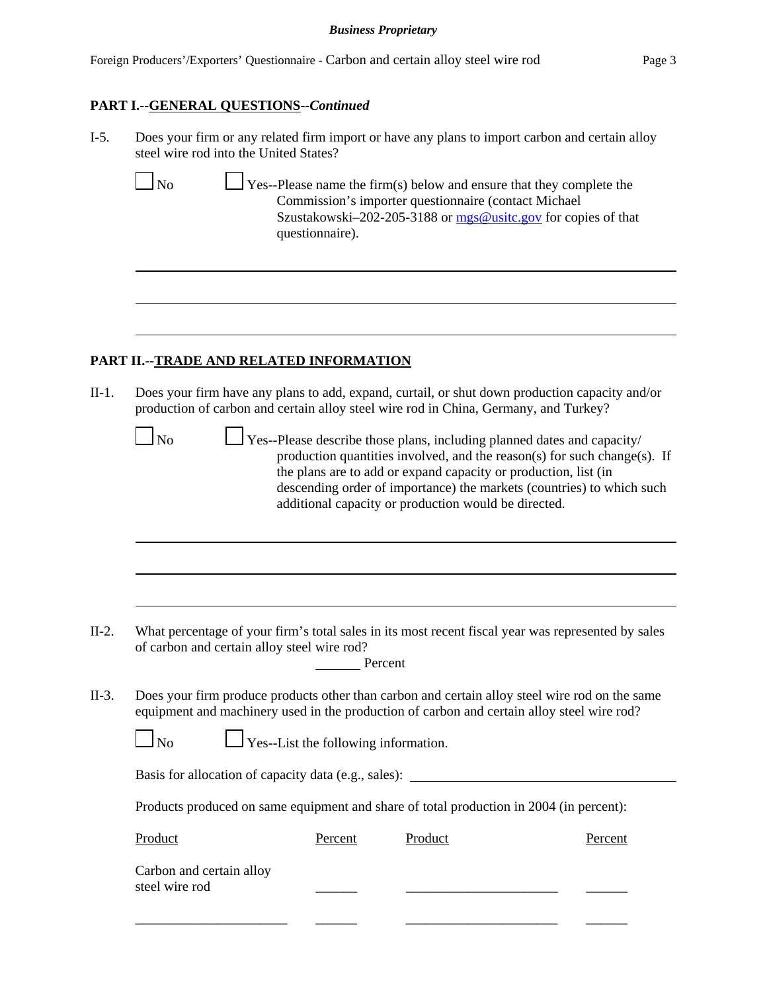## **PART I.--GENERAL QUESTIONS--***Continued*

| $I-5.$ | Does your firm or any related firm import or have any plans to import carbon and certain alloy |
|--------|------------------------------------------------------------------------------------------------|
|        | steel wire rod into the United States?                                                         |

 $\Box$  No  $\Box$  Yes--Please name the firm(s) below and ensure that they complete the Commission's importer questionnaire (contact Michael Szustakowski–202-205-3188 or mgs@usitc.gov for copies of that questionnaire).

## **PART II.--TRADE AND RELATED INFORMATION**

II-1. Does your firm have any plans to add, expand, curtail, or shut down production capacity and/or production of carbon and certain alloy steel wire rod in China, Germany, and Turkey?

 $\Box$  No  $\Box$  Yes--Please describe those plans, including planned dates and capacity/ production quantities involved, and the reason(s) for such change(s). If the plans are to add or expand capacity or production, list (in descending order of importance) the markets (countries) to which such additional capacity or production would be directed.

II-2. What percentage of your firm's total sales in its most recent fiscal year was represented by sales of carbon and certain alloy steel wire rod?

| Percent |
|---------|
|         |

II-3. Does your firm produce products other than carbon and certain alloy steel wire rod on the same equipment and machinery used in the production of carbon and certain alloy steel wire rod?

 $\Box$  No  $\Box$  Yes--List the following information.

Basis for allocation of capacity data (e.g., sales): \_\_\_\_\_\_\_\_\_\_\_\_\_\_\_\_\_\_\_\_\_\_\_\_\_\_\_\_

Products produced on same equipment and share of total production in 2004 (in percent):

| Product                                    | Percent | Product | Percent |
|--------------------------------------------|---------|---------|---------|
| Carbon and certain alloy<br>steel wire rod |         |         |         |
|                                            |         |         |         |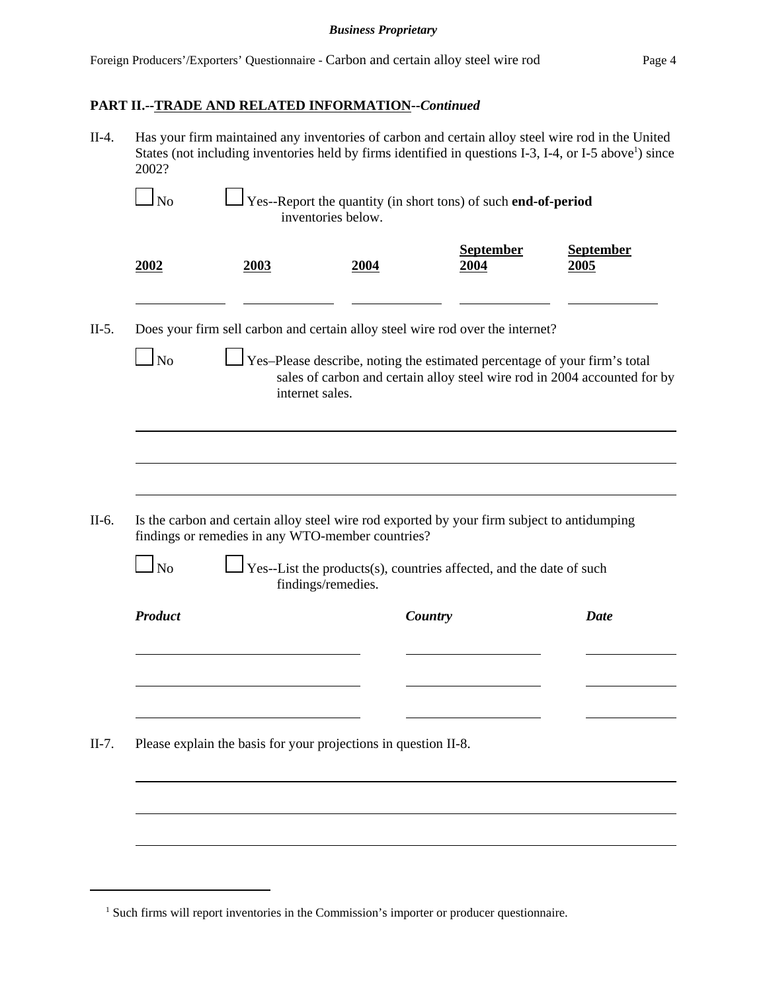# **PART II.--TRADE AND RELATED INFORMATION--***Continued*

II-4. Has your firm maintained any inventories of carbon and certain alloy steel wire rod in the United States (not including inventories held by firms identified in questions I-3, I-4, or I-5 above<sup>1</sup>) since 2002?

| 2002           | 2003 | 2004                                                                    | <b>September</b><br>2004                                                                                                                               | <b>September</b><br>2005 |
|----------------|------|-------------------------------------------------------------------------|--------------------------------------------------------------------------------------------------------------------------------------------------------|--------------------------|
|                |      |                                                                         | Does your firm sell carbon and certain alloy steel wire rod over the internet?                                                                         |                          |
| $\Box$ No      |      | internet sales.                                                         | Yes-Please describe, noting the estimated percentage of your firm's total<br>sales of carbon and certain alloy steel wire rod in 2004 accounted for by |                          |
|                |      |                                                                         |                                                                                                                                                        |                          |
|                |      |                                                                         |                                                                                                                                                        |                          |
|                |      |                                                                         |                                                                                                                                                        |                          |
|                |      |                                                                         | Is the carbon and certain alloy steel wire rod exported by your firm subject to antidumping                                                            |                          |
| N <sub>0</sub> |      | findings or remedies in any WTO-member countries?<br>findings/remedies. | Yes--List the products(s), countries affected, and the date of such                                                                                    |                          |
| <b>Product</b> |      |                                                                         | Country                                                                                                                                                | <b>Date</b>              |
|                |      |                                                                         |                                                                                                                                                        |                          |
|                |      |                                                                         |                                                                                                                                                        |                          |
|                |      | Please explain the basis for your projections in question II-8.         |                                                                                                                                                        |                          |

<sup>&</sup>lt;sup>1</sup> Such firms will report inventories in the Commission's importer or producer questionnaire.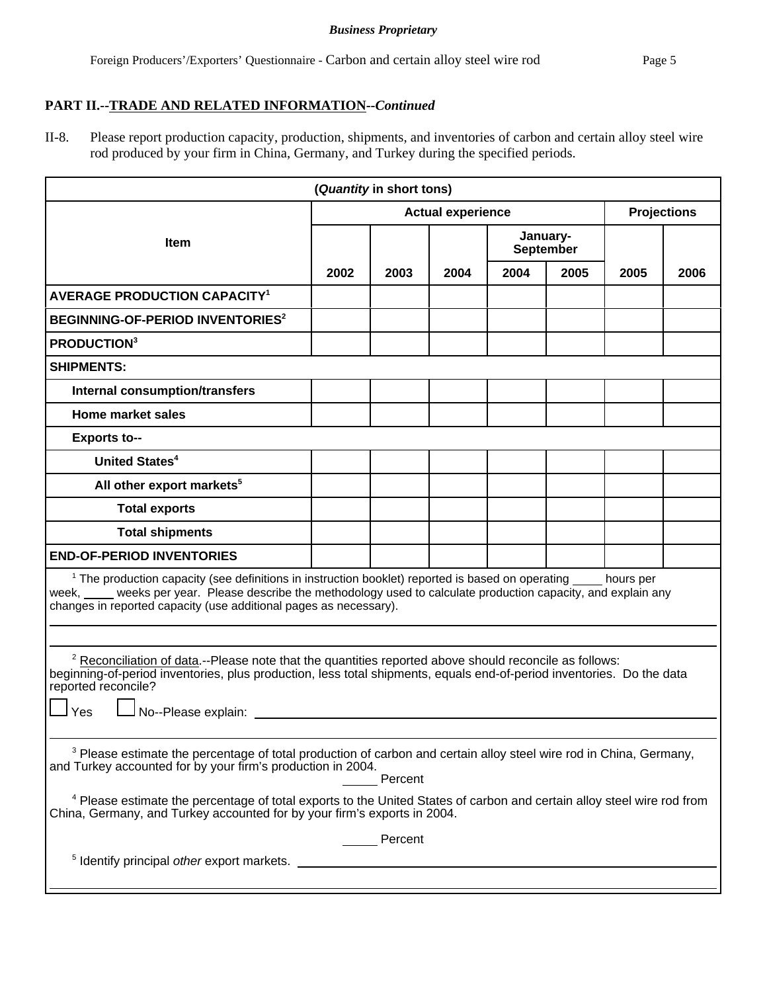#### *Business Proprietary*

# **PART II.--TRADE AND RELATED INFORMATION--***Continued*

II-8. Please report production capacity, production, shipments, and inventories of carbon and certain alloy steel wire rod produced by your firm in China, Germany, and Turkey during the specified periods.

| (Quantity in short tons)                                                                                                                                                                                                                                                                                                                                                                                                 |                          |      |      |                              |      |                    |      |
|--------------------------------------------------------------------------------------------------------------------------------------------------------------------------------------------------------------------------------------------------------------------------------------------------------------------------------------------------------------------------------------------------------------------------|--------------------------|------|------|------------------------------|------|--------------------|------|
|                                                                                                                                                                                                                                                                                                                                                                                                                          | <b>Actual experience</b> |      |      |                              |      | <b>Projections</b> |      |
| <b>Item</b>                                                                                                                                                                                                                                                                                                                                                                                                              |                          |      |      | January-<br><b>September</b> |      |                    |      |
|                                                                                                                                                                                                                                                                                                                                                                                                                          | 2002                     | 2003 | 2004 | 2004                         | 2005 | 2005               | 2006 |
| <b>AVERAGE PRODUCTION CAPACITY<sup>1</sup></b>                                                                                                                                                                                                                                                                                                                                                                           |                          |      |      |                              |      |                    |      |
| BEGINNING-OF-PERIOD INVENTORIES <sup>2</sup>                                                                                                                                                                                                                                                                                                                                                                             |                          |      |      |                              |      |                    |      |
| <b>PRODUCTION3</b>                                                                                                                                                                                                                                                                                                                                                                                                       |                          |      |      |                              |      |                    |      |
| <b>SHIPMENTS:</b>                                                                                                                                                                                                                                                                                                                                                                                                        |                          |      |      |                              |      |                    |      |
| <b>Internal consumption/transfers</b>                                                                                                                                                                                                                                                                                                                                                                                    |                          |      |      |                              |      |                    |      |
| <b>Home market sales</b>                                                                                                                                                                                                                                                                                                                                                                                                 |                          |      |      |                              |      |                    |      |
| <b>Exports to--</b>                                                                                                                                                                                                                                                                                                                                                                                                      |                          |      |      |                              |      |                    |      |
| <b>United States<sup>4</sup></b>                                                                                                                                                                                                                                                                                                                                                                                         |                          |      |      |                              |      |                    |      |
| All other export markets <sup>5</sup>                                                                                                                                                                                                                                                                                                                                                                                    |                          |      |      |                              |      |                    |      |
| <b>Total exports</b>                                                                                                                                                                                                                                                                                                                                                                                                     |                          |      |      |                              |      |                    |      |
| <b>Total shipments</b>                                                                                                                                                                                                                                                                                                                                                                                                   |                          |      |      |                              |      |                    |      |
| <b>END-OF-PERIOD INVENTORIES</b>                                                                                                                                                                                                                                                                                                                                                                                         |                          |      |      |                              |      |                    |      |
| <sup>1</sup> The production capacity (see definitions in instruction booklet) reported is based on operating _____ hours per<br>week, ____ weeks per year. Please describe the methodology used to calculate production capacity, and explain any<br>changes in reported capacity (use additional pages as necessary).                                                                                                   |                          |      |      |                              |      |                    |      |
|                                                                                                                                                                                                                                                                                                                                                                                                                          |                          |      |      |                              |      |                    |      |
| <sup>2</sup> Reconciliation of data.--Please note that the quantities reported above should reconcile as follows:<br>beginning-of-period inventories, plus production, less total shipments, equals end-of-period inventories. Do the data<br>reported reconcile?<br>No--Please explain: _________<br>Yes                                                                                                                |                          |      |      |                              |      |                    |      |
| <sup>3</sup> Please estimate the percentage of total production of carbon and certain alloy steel wire rod in China, Germany,<br>and Turkey accounted for by your firm's production in 2004.<br>Percent<br><sup>4</sup> Please estimate the percentage of total exports to the United States of carbon and certain alloy steel wire rod from<br>China, Germany, and Turkey accounted for by your firm's exports in 2004. |                          |      |      |                              |      |                    |      |
| Percent                                                                                                                                                                                                                                                                                                                                                                                                                  |                          |      |      |                              |      |                    |      |
| <sup>5</sup> Identify principal other export markets.                                                                                                                                                                                                                                                                                                                                                                    |                          |      |      |                              |      |                    |      |
|                                                                                                                                                                                                                                                                                                                                                                                                                          |                          |      |      |                              |      |                    |      |